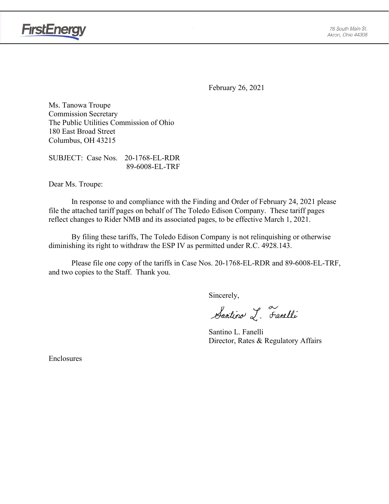

**FirstEnergy** 

February 26, 2021

Ms. Tanowa Troupe Commission Secretary The Public Utilities Commission of Ohio 180 East Broad Street Columbus, OH 43215

SUBJECT: Case Nos. 20-1768-EL-RDR 89-6008-EL-TRF

Dear Ms. Troupe:

In response to and compliance with the Finding and Order of February 24, 2021 please file the attached tariff pages on behalf of The Toledo Edison Company. These tariff pages reflect changes to Rider NMB and its associated pages, to be effective March 1, 2021.

By filing these tariffs, The Toledo Edison Company is not relinquishing or otherwise diminishing its right to withdraw the ESP IV as permitted under R.C. 4928.143.

Please file one copy of the tariffs in Case Nos. 20-1768-EL-RDR and 89-6008-EL-TRF, and two copies to the Staff. Thank you.

Sincerely,

Santino L. Fanelli

Santino L. Fanelli Director, Rates & Regulatory Affairs

Enclosures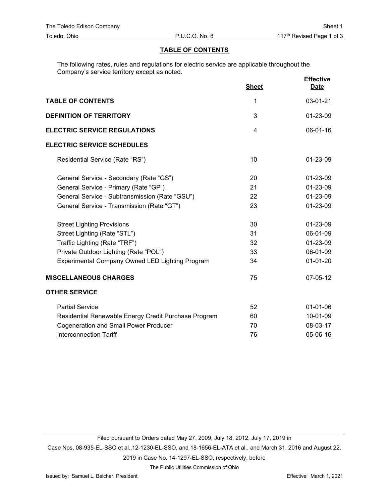## **TABLE OF CONTENTS**

The following rates, rules and regulations for electric service are applicable throughout the Company's service territory except as noted.

|                                                      | <b>Sheet</b> | <b>Effective</b><br><b>Date</b> |
|------------------------------------------------------|--------------|---------------------------------|
| <b>TABLE OF CONTENTS</b>                             | 1            | 03-01-21                        |
| <b>DEFINITION OF TERRITORY</b>                       | 3            | 01-23-09                        |
| <b>ELECTRIC SERVICE REGULATIONS</b>                  | 4            | 06-01-16                        |
| <b>ELECTRIC SERVICE SCHEDULES</b>                    |              |                                 |
| Residential Service (Rate "RS")                      | 10           | 01-23-09                        |
| General Service - Secondary (Rate "GS")              | 20           | 01-23-09                        |
| General Service - Primary (Rate "GP")                | 21           | 01-23-09                        |
| General Service - Subtransmission (Rate "GSU")       | 22           | 01-23-09                        |
| General Service - Transmission (Rate "GT")           | 23           | 01-23-09                        |
| <b>Street Lighting Provisions</b>                    | 30           | 01-23-09                        |
| Street Lighting (Rate "STL")                         | 31           | 06-01-09                        |
| Traffic Lighting (Rate "TRF")                        | 32           | 01-23-09                        |
| Private Outdoor Lighting (Rate "POL")                | 33           | 06-01-09                        |
| Experimental Company Owned LED Lighting Program      | 34           | $01 - 01 - 20$                  |
| <b>MISCELLANEOUS CHARGES</b>                         | 75           | 07-05-12                        |
| <b>OTHER SERVICE</b>                                 |              |                                 |
| <b>Partial Service</b>                               | 52           | $01-01-06$                      |
| Residential Renewable Energy Credit Purchase Program | 60           | 10-01-09                        |
| <b>Cogeneration and Small Power Producer</b>         | 70           | 08-03-17                        |
| <b>Interconnection Tariff</b>                        | 76           | 05-06-16                        |

Filed pursuant to Orders dated May 27, 2009, July 18, 2012, July 17, 2019 in

Case Nos. 08-935-EL-SSO et al.,12-1230-EL-SSO, and 18-1656-EL-ATA et al., and March 31, 2016 and August 22, 2019 in Case No. 14-1297-EL-SSO, respectively, before

The Public Utilities Commission of Ohio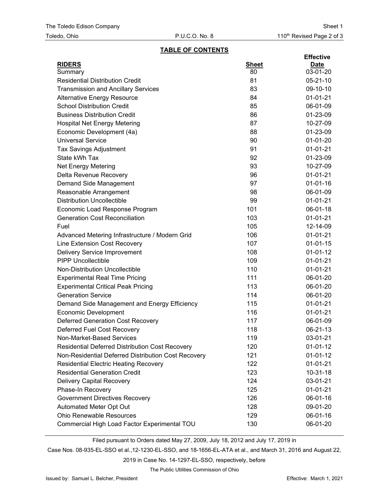### **TABLE OF CONTENTS**

| <b>RIDERS</b><br><b>Sheet</b><br><u>Date</u><br>80<br>03-01-20<br>Summary<br><b>Residential Distribution Credit</b><br>81<br>05-21-10<br>83<br>09-10-10<br><b>Transmission and Ancillary Services</b><br>84<br>$01-01-21$<br><b>Alternative Energy Resource</b><br><b>School Distribution Credit</b><br>85<br>06-01-09<br><b>Business Distribution Credit</b><br>86<br>01-23-09<br>87<br>10-27-09<br><b>Hospital Net Energy Metering</b><br>88<br>01-23-09<br>Economic Development (4a)<br><b>Universal Service</b><br>90<br>$01 - 01 - 20$<br>91<br>01-01-21<br><b>Tax Savings Adjustment</b><br>State kWh Tax<br>92<br>01-23-09<br>Net Energy Metering<br>93<br>10-27-09<br>96<br>$01-01-21$<br>Delta Revenue Recovery<br>97<br>$01 - 01 - 16$<br>Demand Side Management<br>98<br>06-01-09<br>Reasonable Arrangement<br><b>Distribution Uncollectible</b><br>99<br>$01 - 01 - 21$<br>101<br>06-01-18<br>Economic Load Response Program<br>103<br><b>Generation Cost Reconciliation</b><br>01-01-21<br>Fuel<br>105<br>12-14-09<br>106<br>$01-01-21$<br>Advanced Metering Infrastructure / Modern Grid<br>107<br>$01 - 01 - 15$<br>Line Extension Cost Recovery<br>108<br>$01 - 01 - 12$<br>Delivery Service Improvement<br><b>PIPP Uncollectible</b><br>109<br>01-01-21<br>Non-Distribution Uncollectible<br>110<br>$01-01-21$<br><b>Experimental Real Time Pricing</b><br>111<br>06-01-20<br><b>Experimental Critical Peak Pricing</b><br>113<br>06-01-20<br><b>Generation Service</b><br>114<br>06-01-20 |
|-------------------------------------------------------------------------------------------------------------------------------------------------------------------------------------------------------------------------------------------------------------------------------------------------------------------------------------------------------------------------------------------------------------------------------------------------------------------------------------------------------------------------------------------------------------------------------------------------------------------------------------------------------------------------------------------------------------------------------------------------------------------------------------------------------------------------------------------------------------------------------------------------------------------------------------------------------------------------------------------------------------------------------------------------------------------------------------------------------------------------------------------------------------------------------------------------------------------------------------------------------------------------------------------------------------------------------------------------------------------------------------------------------------------------------------------------------------------------------------------------------------|
|                                                                                                                                                                                                                                                                                                                                                                                                                                                                                                                                                                                                                                                                                                                                                                                                                                                                                                                                                                                                                                                                                                                                                                                                                                                                                                                                                                                                                                                                                                             |
|                                                                                                                                                                                                                                                                                                                                                                                                                                                                                                                                                                                                                                                                                                                                                                                                                                                                                                                                                                                                                                                                                                                                                                                                                                                                                                                                                                                                                                                                                                             |
|                                                                                                                                                                                                                                                                                                                                                                                                                                                                                                                                                                                                                                                                                                                                                                                                                                                                                                                                                                                                                                                                                                                                                                                                                                                                                                                                                                                                                                                                                                             |
|                                                                                                                                                                                                                                                                                                                                                                                                                                                                                                                                                                                                                                                                                                                                                                                                                                                                                                                                                                                                                                                                                                                                                                                                                                                                                                                                                                                                                                                                                                             |
|                                                                                                                                                                                                                                                                                                                                                                                                                                                                                                                                                                                                                                                                                                                                                                                                                                                                                                                                                                                                                                                                                                                                                                                                                                                                                                                                                                                                                                                                                                             |
|                                                                                                                                                                                                                                                                                                                                                                                                                                                                                                                                                                                                                                                                                                                                                                                                                                                                                                                                                                                                                                                                                                                                                                                                                                                                                                                                                                                                                                                                                                             |
|                                                                                                                                                                                                                                                                                                                                                                                                                                                                                                                                                                                                                                                                                                                                                                                                                                                                                                                                                                                                                                                                                                                                                                                                                                                                                                                                                                                                                                                                                                             |
|                                                                                                                                                                                                                                                                                                                                                                                                                                                                                                                                                                                                                                                                                                                                                                                                                                                                                                                                                                                                                                                                                                                                                                                                                                                                                                                                                                                                                                                                                                             |
|                                                                                                                                                                                                                                                                                                                                                                                                                                                                                                                                                                                                                                                                                                                                                                                                                                                                                                                                                                                                                                                                                                                                                                                                                                                                                                                                                                                                                                                                                                             |
|                                                                                                                                                                                                                                                                                                                                                                                                                                                                                                                                                                                                                                                                                                                                                                                                                                                                                                                                                                                                                                                                                                                                                                                                                                                                                                                                                                                                                                                                                                             |
|                                                                                                                                                                                                                                                                                                                                                                                                                                                                                                                                                                                                                                                                                                                                                                                                                                                                                                                                                                                                                                                                                                                                                                                                                                                                                                                                                                                                                                                                                                             |
|                                                                                                                                                                                                                                                                                                                                                                                                                                                                                                                                                                                                                                                                                                                                                                                                                                                                                                                                                                                                                                                                                                                                                                                                                                                                                                                                                                                                                                                                                                             |
|                                                                                                                                                                                                                                                                                                                                                                                                                                                                                                                                                                                                                                                                                                                                                                                                                                                                                                                                                                                                                                                                                                                                                                                                                                                                                                                                                                                                                                                                                                             |
|                                                                                                                                                                                                                                                                                                                                                                                                                                                                                                                                                                                                                                                                                                                                                                                                                                                                                                                                                                                                                                                                                                                                                                                                                                                                                                                                                                                                                                                                                                             |
|                                                                                                                                                                                                                                                                                                                                                                                                                                                                                                                                                                                                                                                                                                                                                                                                                                                                                                                                                                                                                                                                                                                                                                                                                                                                                                                                                                                                                                                                                                             |
|                                                                                                                                                                                                                                                                                                                                                                                                                                                                                                                                                                                                                                                                                                                                                                                                                                                                                                                                                                                                                                                                                                                                                                                                                                                                                                                                                                                                                                                                                                             |
|                                                                                                                                                                                                                                                                                                                                                                                                                                                                                                                                                                                                                                                                                                                                                                                                                                                                                                                                                                                                                                                                                                                                                                                                                                                                                                                                                                                                                                                                                                             |
|                                                                                                                                                                                                                                                                                                                                                                                                                                                                                                                                                                                                                                                                                                                                                                                                                                                                                                                                                                                                                                                                                                                                                                                                                                                                                                                                                                                                                                                                                                             |
|                                                                                                                                                                                                                                                                                                                                                                                                                                                                                                                                                                                                                                                                                                                                                                                                                                                                                                                                                                                                                                                                                                                                                                                                                                                                                                                                                                                                                                                                                                             |
|                                                                                                                                                                                                                                                                                                                                                                                                                                                                                                                                                                                                                                                                                                                                                                                                                                                                                                                                                                                                                                                                                                                                                                                                                                                                                                                                                                                                                                                                                                             |
|                                                                                                                                                                                                                                                                                                                                                                                                                                                                                                                                                                                                                                                                                                                                                                                                                                                                                                                                                                                                                                                                                                                                                                                                                                                                                                                                                                                                                                                                                                             |
|                                                                                                                                                                                                                                                                                                                                                                                                                                                                                                                                                                                                                                                                                                                                                                                                                                                                                                                                                                                                                                                                                                                                                                                                                                                                                                                                                                                                                                                                                                             |
|                                                                                                                                                                                                                                                                                                                                                                                                                                                                                                                                                                                                                                                                                                                                                                                                                                                                                                                                                                                                                                                                                                                                                                                                                                                                                                                                                                                                                                                                                                             |
|                                                                                                                                                                                                                                                                                                                                                                                                                                                                                                                                                                                                                                                                                                                                                                                                                                                                                                                                                                                                                                                                                                                                                                                                                                                                                                                                                                                                                                                                                                             |
|                                                                                                                                                                                                                                                                                                                                                                                                                                                                                                                                                                                                                                                                                                                                                                                                                                                                                                                                                                                                                                                                                                                                                                                                                                                                                                                                                                                                                                                                                                             |
|                                                                                                                                                                                                                                                                                                                                                                                                                                                                                                                                                                                                                                                                                                                                                                                                                                                                                                                                                                                                                                                                                                                                                                                                                                                                                                                                                                                                                                                                                                             |
|                                                                                                                                                                                                                                                                                                                                                                                                                                                                                                                                                                                                                                                                                                                                                                                                                                                                                                                                                                                                                                                                                                                                                                                                                                                                                                                                                                                                                                                                                                             |
|                                                                                                                                                                                                                                                                                                                                                                                                                                                                                                                                                                                                                                                                                                                                                                                                                                                                                                                                                                                                                                                                                                                                                                                                                                                                                                                                                                                                                                                                                                             |
| 115<br>$01-01-21$<br>Demand Side Management and Energy Efficiency                                                                                                                                                                                                                                                                                                                                                                                                                                                                                                                                                                                                                                                                                                                                                                                                                                                                                                                                                                                                                                                                                                                                                                                                                                                                                                                                                                                                                                           |
| 116<br>$01-01-21$<br><b>Economic Development</b>                                                                                                                                                                                                                                                                                                                                                                                                                                                                                                                                                                                                                                                                                                                                                                                                                                                                                                                                                                                                                                                                                                                                                                                                                                                                                                                                                                                                                                                            |
| <b>Deferred Generation Cost Recovery</b><br>06-01-09<br>117                                                                                                                                                                                                                                                                                                                                                                                                                                                                                                                                                                                                                                                                                                                                                                                                                                                                                                                                                                                                                                                                                                                                                                                                                                                                                                                                                                                                                                                 |
| Deferred Fuel Cost Recovery<br>118<br>06-21-13                                                                                                                                                                                                                                                                                                                                                                                                                                                                                                                                                                                                                                                                                                                                                                                                                                                                                                                                                                                                                                                                                                                                                                                                                                                                                                                                                                                                                                                              |
| 119<br>03-01-21<br>Non-Market-Based Services                                                                                                                                                                                                                                                                                                                                                                                                                                                                                                                                                                                                                                                                                                                                                                                                                                                                                                                                                                                                                                                                                                                                                                                                                                                                                                                                                                                                                                                                |
| <b>Residential Deferred Distribution Cost Recovery</b><br>120<br>$01-01-12$                                                                                                                                                                                                                                                                                                                                                                                                                                                                                                                                                                                                                                                                                                                                                                                                                                                                                                                                                                                                                                                                                                                                                                                                                                                                                                                                                                                                                                 |
| Non-Residential Deferred Distribution Cost Recovery<br>121<br>$01-01-12$                                                                                                                                                                                                                                                                                                                                                                                                                                                                                                                                                                                                                                                                                                                                                                                                                                                                                                                                                                                                                                                                                                                                                                                                                                                                                                                                                                                                                                    |
| <b>Residential Electric Heating Recovery</b><br>122<br>01-01-21                                                                                                                                                                                                                                                                                                                                                                                                                                                                                                                                                                                                                                                                                                                                                                                                                                                                                                                                                                                                                                                                                                                                                                                                                                                                                                                                                                                                                                             |
| <b>Residential Generation Credit</b><br>123<br>$10 - 31 - 18$                                                                                                                                                                                                                                                                                                                                                                                                                                                                                                                                                                                                                                                                                                                                                                                                                                                                                                                                                                                                                                                                                                                                                                                                                                                                                                                                                                                                                                               |
| <b>Delivery Capital Recovery</b><br>124<br>03-01-21                                                                                                                                                                                                                                                                                                                                                                                                                                                                                                                                                                                                                                                                                                                                                                                                                                                                                                                                                                                                                                                                                                                                                                                                                                                                                                                                                                                                                                                         |
| Phase-In Recovery<br>125<br>01-01-21                                                                                                                                                                                                                                                                                                                                                                                                                                                                                                                                                                                                                                                                                                                                                                                                                                                                                                                                                                                                                                                                                                                                                                                                                                                                                                                                                                                                                                                                        |
| <b>Government Directives Recovery</b><br>126<br>06-01-16                                                                                                                                                                                                                                                                                                                                                                                                                                                                                                                                                                                                                                                                                                                                                                                                                                                                                                                                                                                                                                                                                                                                                                                                                                                                                                                                                                                                                                                    |
| Automated Meter Opt Out<br>128<br>09-01-20                                                                                                                                                                                                                                                                                                                                                                                                                                                                                                                                                                                                                                                                                                                                                                                                                                                                                                                                                                                                                                                                                                                                                                                                                                                                                                                                                                                                                                                                  |
| Ohio Renewable Resources<br>129<br>06-01-16                                                                                                                                                                                                                                                                                                                                                                                                                                                                                                                                                                                                                                                                                                                                                                                                                                                                                                                                                                                                                                                                                                                                                                                                                                                                                                                                                                                                                                                                 |
| Commercial High Load Factor Experimental TOU<br>130<br>06-01-20                                                                                                                                                                                                                                                                                                                                                                                                                                                                                                                                                                                                                                                                                                                                                                                                                                                                                                                                                                                                                                                                                                                                                                                                                                                                                                                                                                                                                                             |

Filed pursuant to Orders dated May 27, 2009, July 18, 2012 and July 17, 2019 in

Case Nos. 08-935-EL-SSO et al.,12-1230-EL-SSO, and 18-1656-EL-ATA et al., and March 31, 2016 and August 22,

2019 in Case No. 14-1297-EL-SSO, respectively, before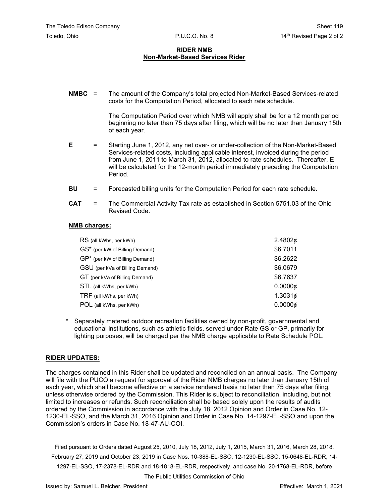#### **RIDER NMB Non-Market-Based Services Rider**

**NMBC** = The amount of the Company's total projected Non-Market-Based Services-related costs for the Computation Period, allocated to each rate schedule.

> The Computation Period over which NMB will apply shall be for a 12 month period beginning no later than 75 days after filing, which will be no later than January 15th of each year.

- **E** = Starting June 1, 2012, any net over- or under-collection of the Non-Market-Based Services-related costs, including applicable interest, invoiced during the period from June 1, 2011 to March 31, 2012, allocated to rate schedules. Thereafter, E will be calculated for the 12-month period immediately preceding the Computation Period.
- **BU** = Forecasted billing units for the Computation Period for each rate schedule.
- **CAT** = The Commercial Activity Tax rate as established in Section 5751.03 of the Ohio Revised Code.

#### **NMB charges:**

| RS (all kWhs, per kWh)          | 2.4802¢         |
|---------------------------------|-----------------|
| GS* (per kW of Billing Demand)  | \$6.7011        |
| GP* (per kW of Billing Demand)  | \$6.2622        |
| GSU (per kVa of Billing Demand) | \$6.0679        |
| GT (per kVa of Billing Demand)  | \$6.7637        |
| STL (all kWhs, per kWh)         | $0.0000 \notin$ |
| TRF (all kWhs, per kWh)         | 1.3031¢         |
| POL (all kWhs, per kWh)         | $0.0000 \notin$ |

Separately metered outdoor recreation facilities owned by non-profit, governmental and educational institutions, such as athletic fields, served under Rate GS or GP, primarily for lighting purposes, will be charged per the NMB charge applicable to Rate Schedule POL.

#### **RIDER UPDATES:**

The charges contained in this Rider shall be updated and reconciled on an annual basis. The Company will file with the PUCO a request for approval of the Rider NMB charges no later than January 15th of each year, which shall become effective on a service rendered basis no later than 75 days after filing, unless otherwise ordered by the Commission. This Rider is subject to reconciliation, including, but not limited to increases or refunds. Such reconciliation shall be based solely upon the results of audits ordered by the Commission in accordance with the July 18, 2012 Opinion and Order in Case No. 12- 1230-EL-SSO, and the March 31, 2016 Opinion and Order in Case No. 14-1297-EL-SSO and upon the Commission's orders in Case No. 18-47-AU-COI.

Filed pursuant to Orders dated August 25, 2010, July 18, 2012, July 1, 2015, March 31, 2016, March 28, 2018, February 27, 2019 and October 23, 2019 in Case Nos. 10-388-EL-SSO, 12-1230-EL-SSO, 15-0648-EL-RDR, 14- 1297-EL-SSO, 17-2378-EL-RDR and 18-1818-EL-RDR, respectively, and case No. 20-1768-EL-RDR, before

The Public Utilities Commission of Ohio